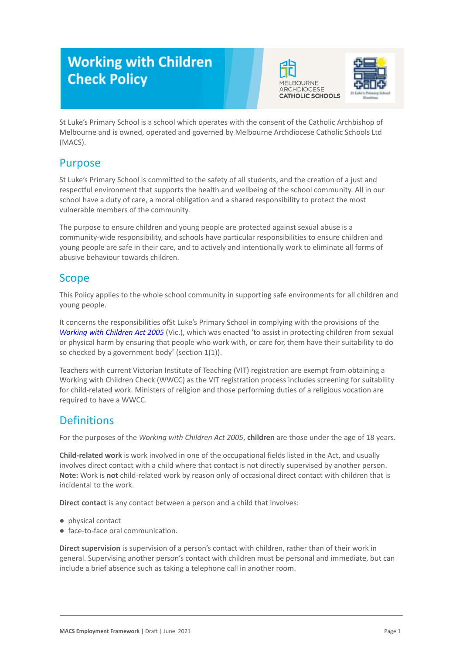# **Working with Children Check Policy**





St Luke's Primary School is a school which operates with the consent of the Catholic Archbishop of Melbourne and is owned, operated and governed by Melbourne Archdiocese Catholic Schools Ltd (MACS).

# Purpose

St Luke's Primary School is committed to the safety of all students, and the creation of a just and respectful environment that supports the health and wellbeing of the school community. All in our school have a duty of care, a moral obligation and a shared responsibility to protect the most vulnerable members of the community.

The purpose to ensure children and young people are protected against sexual abuse is a community-wide responsibility, and schools have particular responsibilities to ensure children and young people are safe in their care, and to actively and intentionally work to eliminate all forms of abusive behaviour towards children.

#### Scope

This Policy applies to the whole school community in supporting safe environments for all children and young people.

It concerns the responsibilities ofSt Luke's Primary School in complying with the provisions of the *[Working with Children Act 2005](https://www.legislation.vic.gov.au/as-made/acts/working-children-act-2005)* (Vic.), which was enacted 'to assist in protecting children from sexual or physical harm by ensuring that people who work with, or care for, them have their suitability to do so checked by a government body' (section 1(1)).

Teachers with current Victorian Institute of Teaching (VIT) registration are exempt from obtaining a Working with Children Check (WWCC) as the VIT registration process includes screening for suitability for child-related work. Ministers of religion and those performing duties of a religious vocation are required to have a WWCC.

# **Definitions**

For the purposes of the *Working with Children Act 2005*, **children** are those under the age of 18 years.

**Child-related work** is work involved in one of the occupational fields listed in the Act, and usually involves direct contact with a child where that contact is not directly supervised by another person. **Note:** Work is **not** child-related work by reason only of occasional direct contact with children that is incidental to the work.

**Direct contact** is any contact between a person and a child that involves:

- physical contact
- face-to-face oral communication.

**Direct supervision** is supervision of a person's contact with children, rather than of their work in general. Supervising another person's contact with children must be personal and immediate, but can include a brief absence such as taking a telephone call in another room.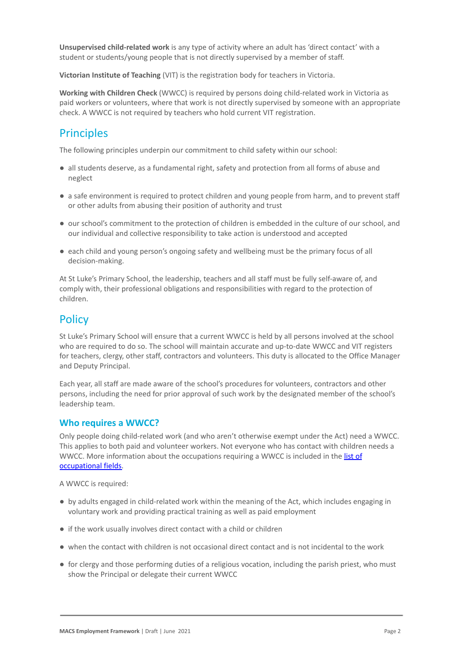**Unsupervised child-related work** is any type of activity where an adult has 'direct contact' with a student or students/young people that is not directly supervised by a member of staff.

**Victorian Institute of Teaching** (VIT) is the registration body for teachers in Victoria.

**Working with Children Check** (WWCC) is required by persons doing child-related work in Victoria as paid workers or volunteers, where that work is not directly supervised by someone with an appropriate check. A WWCC is not required by teachers who hold current VIT registration.

### **Principles**

The following principles underpin our commitment to child safety within our school:

- all students deserve, as a fundamental right, safety and protection from all forms of abuse and neglect
- a safe environment is required to protect children and young people from harm, and to prevent staff or other adults from abusing their position of authority and trust
- our school's commitment to the protection of children is embedded in the culture of our school, and our individual and collective responsibility to take action is understood and accepted
- each child and young person's ongoing safety and wellbeing must be the primary focus of all decision-making.

At St Luke's Primary School, the leadership, teachers and all staff must be fully self-aware of, and comply with, their professional obligations and responsibilities with regard to the protection of children.

## **Policy**

St Luke's Primary School will ensure that a current WWCC is held by all persons involved at the school who are required to do so. The school will maintain accurate and up-to-date WWCC and VIT registers for teachers, clergy, other staff, contractors and volunteers. This duty is allocated to the Office Manager and Deputy Principal.

Each year, all staff are made aware of the school's procedures for volunteers, contractors and other persons, including the need for prior approval of such work by the designated member of the school's leadership team.

#### **Who requires a WWCC?**

Only people doing child-related work (and who aren't otherwise exempt under the Act) need a WWCC. This applies to both paid and volunteer workers. Not everyone who has contact with children needs a WWCC. More information about the occupations requiring a WWCC is included in the [list of](https://www.workingwithchildren.vic.gov.au/about-the-check/resources/list-of-occupational-fields) [occupational fields.](https://www.workingwithchildren.vic.gov.au/about-the-check/resources/list-of-occupational-fields)

A WWCC is required:

- by adults engaged in child-related work within the meaning of the Act, which includes engaging in voluntary work and providing practical training as well as paid employment
- if the work usually involves direct contact with a child or children
- when the contact with children is not occasional direct contact and is not incidental to the work
- for clergy and those performing duties of a religious vocation, including the parish priest, who must show the Principal or delegate their current WWCC